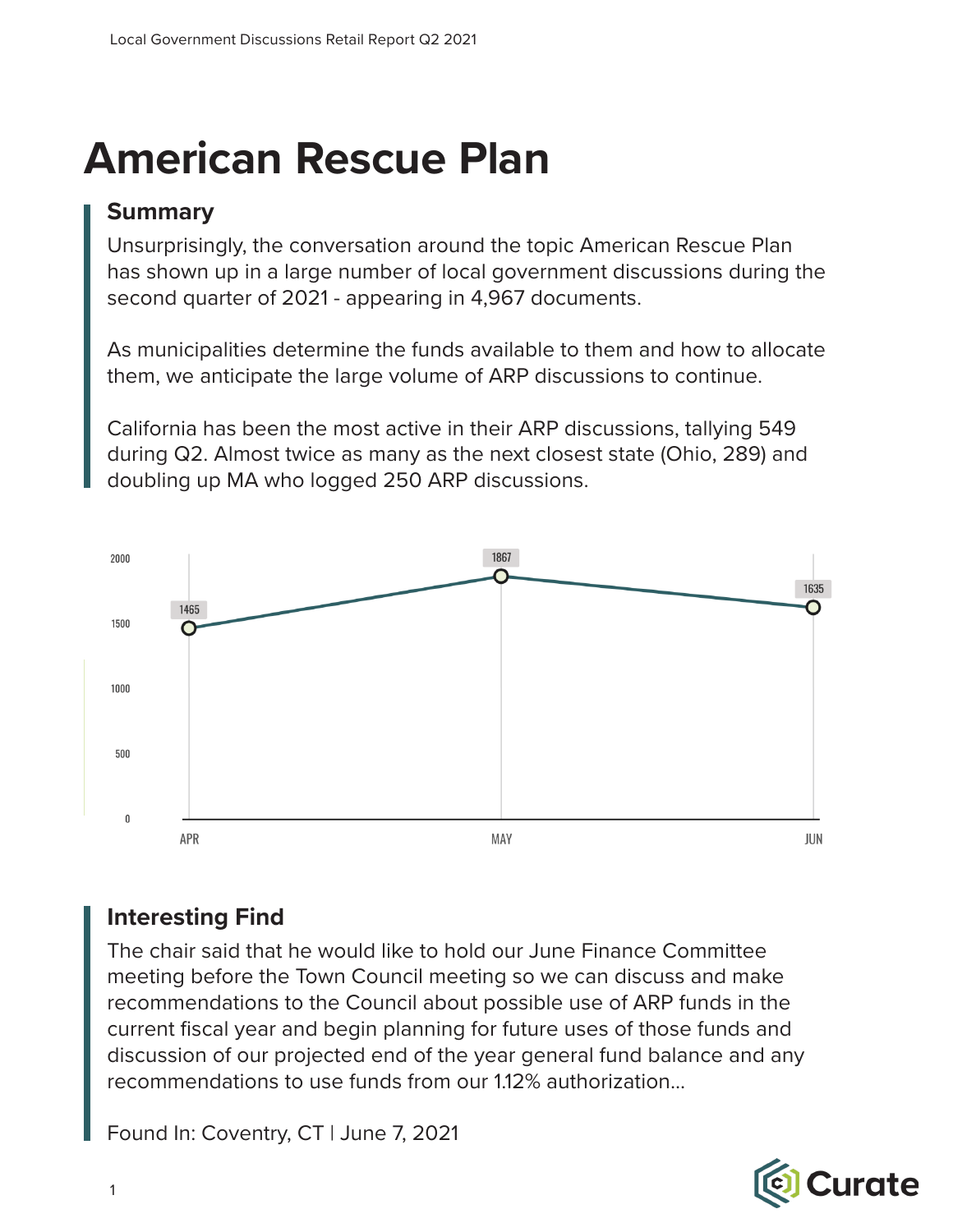## **American Rescue Plan**

#### **Summary**

Unsurprisingly, the conversation around the topic American Rescue Plan has shown up in a large number of local government discussions during the second quarter of 2021 - appearing in 4,967 documents.

As municipalities determine the funds available to them and how to allocate them, we anticipate the large volume of ARP discussions to continue.

California has been the most active in their ARP discussions, tallying 549 during Q2. Almost twice as many as the next closest state (Ohio, 289) and doubling up MA who logged 250 ARP discussions.



#### **Interesting Find**

The chair said that he would like to hold our June Finance Committee meeting before the Town Council meeting so we can discuss and make recommendations to the Council about possible use of ARP funds in the current fiscal year and begin planning for future uses of those funds and discussion of our projected end of the year general fund balance and any recommendations to use funds from our 1.12% authorization...

Found In: Coventry, CT | June 7, 2021